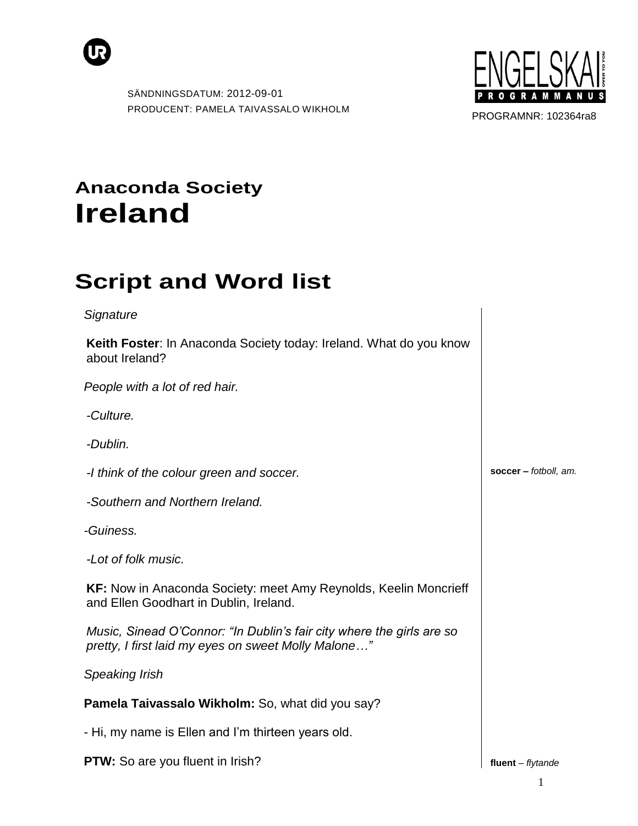



PROGRAMNR: 102364ra8

## **Anaconda Society Ireland**

## **Script and Word list**

| Signature                                                                                                                    |                         |
|------------------------------------------------------------------------------------------------------------------------------|-------------------------|
| Keith Foster: In Anaconda Society today: Ireland. What do you know<br>about Ireland?                                         |                         |
| People with a lot of red hair.                                                                                               |                         |
| -Culture.                                                                                                                    |                         |
| -Dublin.                                                                                                                     |                         |
| -I think of the colour green and soccer.                                                                                     | soccer $-$ fotboll, am. |
| -Southern and Northern Ireland.                                                                                              |                         |
| -Guiness.                                                                                                                    |                         |
| -Lot of folk music.                                                                                                          |                         |
| <b>KF:</b> Now in Anaconda Society: meet Amy Reynolds, Keelin Moncrieff<br>and Ellen Goodhart in Dublin, Ireland.            |                         |
| Music, Sinead O'Connor: "In Dublin's fair city where the girls are so<br>pretty, I first laid my eyes on sweet Molly Malone" |                         |
| Speaking Irish                                                                                                               |                         |
| Pamela Taivassalo Wikholm: So, what did you say?                                                                             |                         |
| - Hi, my name is Ellen and I'm thirteen years old.                                                                           |                         |

**PTW:** So are you fluent in Irish?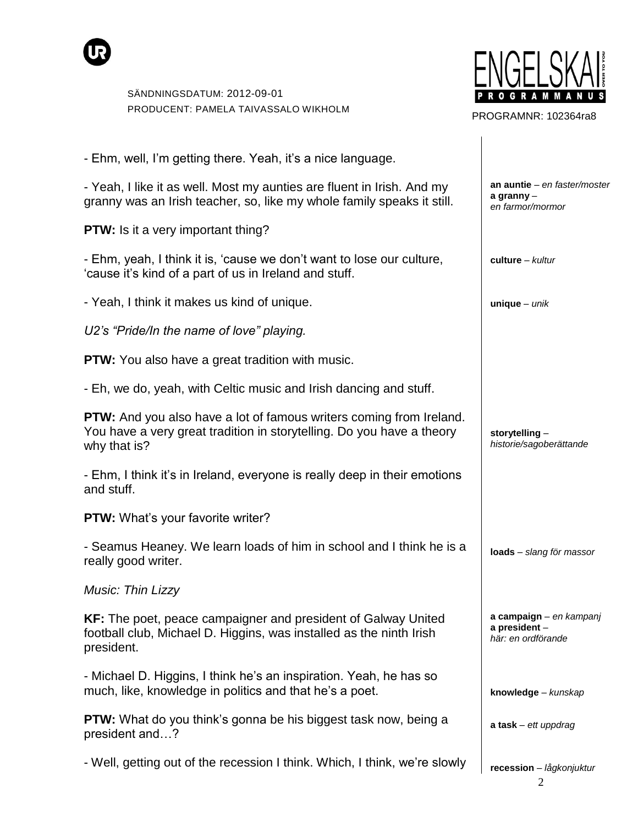

- Ehm, well, I"m getting there. Yeah, it"s a nice language.

- Yeah, I like it as well. Most my aunties are fluent in Irish. And my granny was an Irish teacher, so, like my whole family speaks it still.

**PTW:** Is it a very important thing?

- Ehm, yeah, I think it is, "cause we don"t want to lose our culture, "cause it"s kind of a part of us in Ireland and stuff.

- Yeah, I think it makes us kind of unique.

*U2"s "Pride/In the name of love" playing.*

**PTW:** You also have a great tradition with music.

- Eh, we do, yeah, with Celtic music and Irish dancing and stuff.

**PTW:** And you also have a lot of famous writers coming from Ireland. You have a very great tradition in storytelling. Do you have a theory why that is?

- Ehm, I think it's in Ireland, everyone is really deep in their emotions and stuff.

**PTW:** What's your favorite writer?

- Seamus Heaney. We learn loads of him in school and I think he is a really good writer.

*Music: Thin Lizzy*

**KF:** The poet, peace campaigner and president of Galway United football club, Michael D. Higgins, was installed as the ninth Irish president.

- Michael D. Higgins, I think he"s an inspiration. Yeah, he has so much, like, knowledge in politics and that he"s a poet.

**PTW:** What do you think's gonna be his biggest task now, being a president and…?

- Well, getting out of the recession I think. Which, I think, we"re slowly



PROGRAMNR: 102364ra8

**an auntie** *– en faster/moster* **a granny** *– en farmor/mormor*

**culture** *– kultur*

**unique** *– unik*

**storytelling** *– historie/sagoberättande*

**loads** *– slang för massor*

**a campaign** *– en kampanj* **a president** *– här: en ordförande*

**knowledge** *– kunskap*

**a task** *– ett uppdrag*

**recession** *– lågkonjuktur*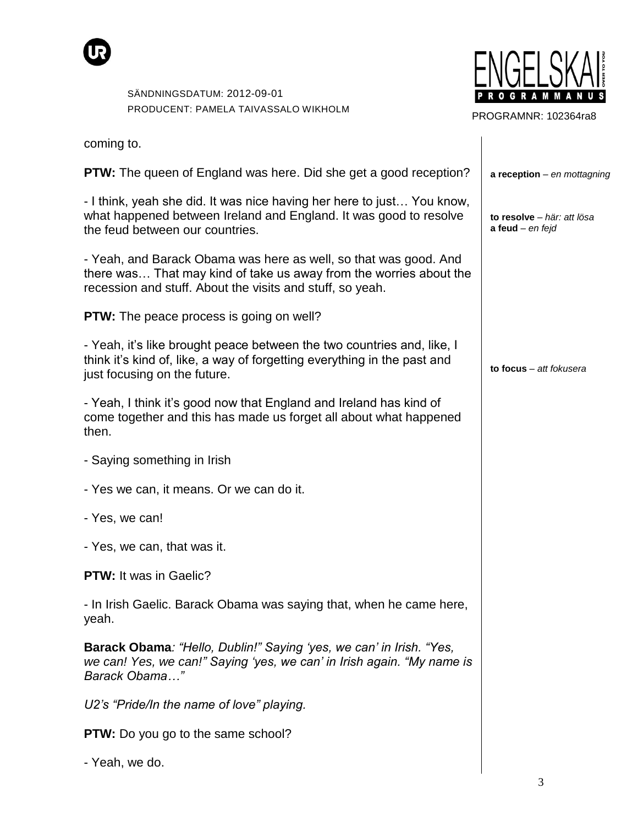



PROGRAMNR: 102364ra8

| coming to.                                                                                                                                                                                          |                                                  |
|-----------------------------------------------------------------------------------------------------------------------------------------------------------------------------------------------------|--------------------------------------------------|
| <b>PTW:</b> The queen of England was here. Did she get a good reception?                                                                                                                            | $a$ reception – en mottagning                    |
| - I think, yeah she did. It was nice having her here to just You know,<br>what happened between Ireland and England. It was good to resolve<br>the feud between our countries.                      | to resolve - här: att lösa<br>a feud $-$ en fejd |
| - Yeah, and Barack Obama was here as well, so that was good. And<br>there was That may kind of take us away from the worries about the<br>recession and stuff. About the visits and stuff, so yeah. |                                                  |
| <b>PTW:</b> The peace process is going on well?                                                                                                                                                     |                                                  |
| - Yeah, it's like brought peace between the two countries and, like, I<br>think it's kind of, like, a way of forgetting everything in the past and<br>just focusing on the future.                  | to focus - att fokusera                          |
| - Yeah, I think it's good now that England and Ireland has kind of<br>come together and this has made us forget all about what happened<br>then.                                                    |                                                  |
| - Saying something in Irish                                                                                                                                                                         |                                                  |
| - Yes we can, it means. Or we can do it.                                                                                                                                                            |                                                  |
| - Yes, we can!                                                                                                                                                                                      |                                                  |
| - Yes, we can, that was it.                                                                                                                                                                         |                                                  |
| <b>PTW:</b> It was in Gaelic?                                                                                                                                                                       |                                                  |
| - In Irish Gaelic. Barack Obama was saying that, when he came here,<br>yeah.                                                                                                                        |                                                  |
| Barack Obama: "Hello, Dublin!" Saying 'yes, we can' in Irish. "Yes,<br>we can! Yes, we can!" Saying 'yes, we can' in Irish again. "My name is<br>Barack Obama"                                      |                                                  |
| U2's "Pride/In the name of love" playing.                                                                                                                                                           |                                                  |
| <b>PTW:</b> Do you go to the same school?                                                                                                                                                           |                                                  |
| - Yeah, we do.                                                                                                                                                                                      |                                                  |
|                                                                                                                                                                                                     | 3                                                |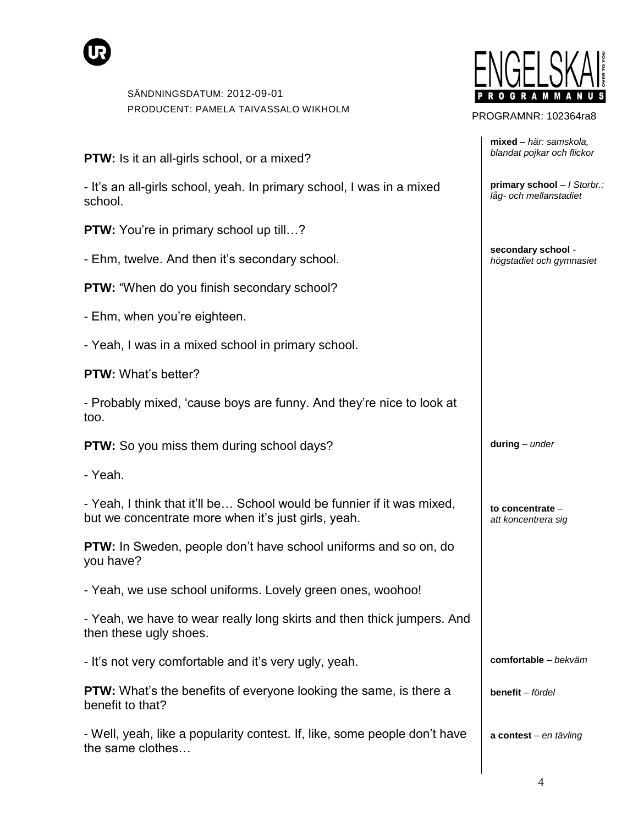

| <b>PTW:</b> Is it an all-girls school, or a mixed?                                                                            | blandat pojkar och flickor                            |
|-------------------------------------------------------------------------------------------------------------------------------|-------------------------------------------------------|
| - It's an all-girls school, yeah. In primary school, I was in a mixed<br>school.                                              | primary school - / Storbr.:<br>låg- och mellanstadiet |
| <b>PTW:</b> You're in primary school up till?                                                                                 |                                                       |
| - Ehm, twelve. And then it's secondary school.                                                                                | secondary school -<br>högstadiet och gymnasiet        |
| <b>PTW:</b> "When do you finish secondary school?                                                                             |                                                       |
| - Ehm, when you're eighteen.                                                                                                  |                                                       |
| - Yeah, I was in a mixed school in primary school.                                                                            |                                                       |
| <b>PTW:</b> What's better?                                                                                                    |                                                       |
| - Probably mixed, 'cause boys are funny. And they're nice to look at<br>too.                                                  |                                                       |
| <b>PTW:</b> So you miss them during school days?                                                                              | $during$ - under                                      |
| - Yeah.                                                                                                                       |                                                       |
| - Yeah, I think that it'll be School would be funnier if it was mixed,<br>but we concentrate more when it's just girls, yeah. | to concentrate -<br>att koncentrera sig               |
| PTW: In Sweden, people don't have school uniforms and so on, do<br>you have?                                                  |                                                       |
| - Yeah, we use school uniforms. Lovely green ones, woohoo!                                                                    |                                                       |
| - Yeah, we have to wear really long skirts and then thick jumpers. And<br>then these ugly shoes.                              |                                                       |
| - It's not very comfortable and it's very ugly, yeah.                                                                         | $comfortable - bekväm$                                |
| <b>PTW:</b> What's the benefits of everyone looking the same, is there a<br>benefit to that?                                  | benefit - fördel                                      |
| - Well, yeah, like a popularity contest. If, like, some people don't have<br>the same clothes                                 | a contest - en tävling                                |
|                                                                                                                               |                                                       |



PROGRAMNR: 102364ra8

**mixed** *– här: samskola,* 

4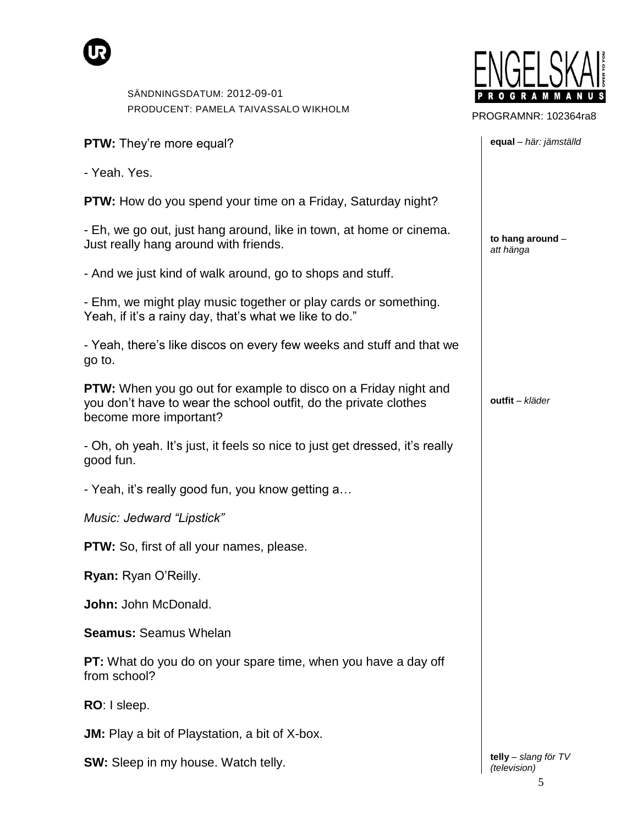



PROGRAMNR: 102364ra8

**equal** *– här: jämställd*

**to hang around** *–*

*att hänga*

**outfit** *– kläder*

**PTW:** They"re more equal?

- Yeah. Yes.

**PTW:** How do you spend your time on a Friday, Saturday night?

- Eh, we go out, just hang around, like in town, at home or cinema. Just really hang around with friends.

- And we just kind of walk around, go to shops and stuff.

- Ehm, we might play music together or play cards or something. Yeah, if it's a rainy day, that's what we like to do."

- Yeah, there"s like discos on every few weeks and stuff and that we go to.

**PTW:** When you go out for example to disco on a Friday night and you don"t have to wear the school outfit, do the private clothes become more important?

- Oh, oh yeah. It"s just, it feels so nice to just get dressed, it"s really good fun.

- Yeah, it's really good fun, you know getting a...

*Music: Jedward "Lipstick"*

**PTW:** So, first of all your names, please.

**Ryan:** Ryan O"Reilly.

**John:** John McDonald.

**Seamus:** Seamus Whelan

**PT:** What do you do on your spare time, when you have a day off from school?

**RO**: I sleep.

**JM:** Play a bit of Playstation, a bit of X-box.

**SW:** Sleep in my house. Watch telly.